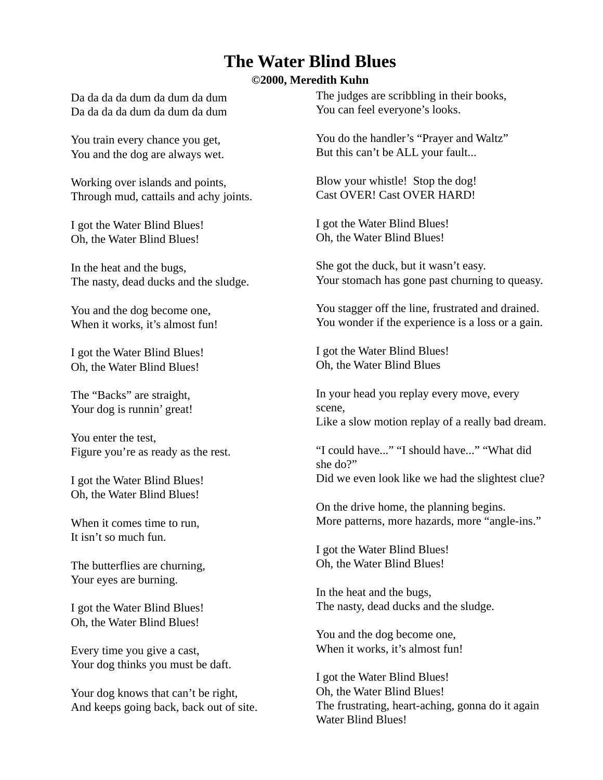## **The Water Blind Blues**

## **©2000, Meredith Kuhn**

Da da da da dum da dum da dum Da da da da dum da dum da dum

You train every chance you get, You and the dog are always wet.

Working over islands and points, Through mud, cattails and achy joints.

I got the Water Blind Blues! Oh, the Water Blind Blues!

In the heat and the bugs, The nasty, dead ducks and the sludge.

You and the dog become one, When it works, it's almost fun!

I got the Water Blind Blues! Oh, the Water Blind Blues!

The "Backs" are straight, Your dog is runnin' great!

You enter the test, Figure you're as ready as the rest.

I got the Water Blind Blues! Oh, the Water Blind Blues!

When it comes time to run, It isn't so much fun.

The butterflies are churning, Your eyes are burning.

I got the Water Blind Blues! Oh, the Water Blind Blues!

Every time you give a cast, Your dog thinks you must be daft.

Your dog knows that can't be right, And keeps going back, back out of site. The judges are scribbling in their books, You can feel everyone's looks.

You do the handler's "Prayer and Waltz" But this can't be ALL your fault...

Blow your whistle! Stop the dog! Cast OVER! Cast OVER HARD!

I got the Water Blind Blues! Oh, the Water Blind Blues!

She got the duck, but it wasn't easy. Your stomach has gone past churning to queasy.

You stagger off the line, frustrated and drained. You wonder if the experience is a loss or a gain.

I got the Water Blind Blues! Oh, the Water Blind Blues

In your head you replay every move, every scene, Like a slow motion replay of a really bad dream.

"I could have..." "I should have..." "What did she do?" Did we even look like we had the slightest clue?

On the drive home, the planning begins. More patterns, more hazards, more "angle-ins."

I got the Water Blind Blues! Oh, the Water Blind Blues!

In the heat and the bugs, The nasty, dead ducks and the sludge.

You and the dog become one, When it works, it's almost fun!

I got the Water Blind Blues! Oh, the Water Blind Blues! The frustrating, heart-aching, gonna do it again Water Blind Blues!